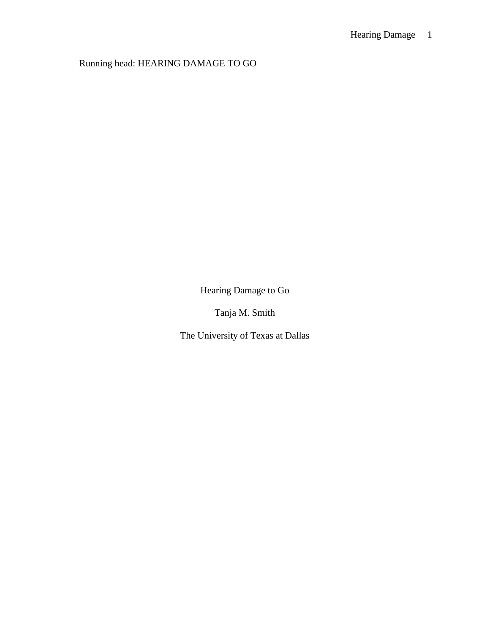Running head: HEARING DAMAGE TO GO

Hearing Damage to Go

Tanja M. Smith

The University of Texas at Dallas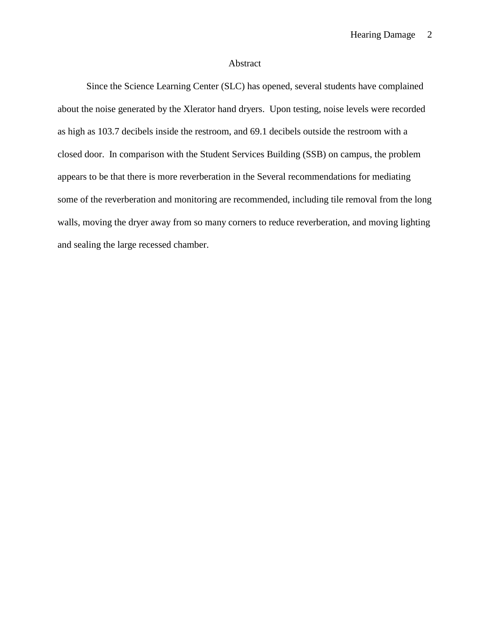# Abstract

Since the Science Learning Center (SLC) has opened, several students have complained about the noise generated by the Xlerator hand dryers. Upon testing, noise levels were recorded as high as 103.7 decibels inside the restroom, and 69.1 decibels outside the restroom with a closed door. In comparison with the Student Services Building (SSB) on campus, the problem appears to be that there is more reverberation in the Several recommendations for mediating some of the reverberation and monitoring are recommended, including tile removal from the long walls, moving the dryer away from so many corners to reduce reverberation, and moving lighting and sealing the large recessed chamber.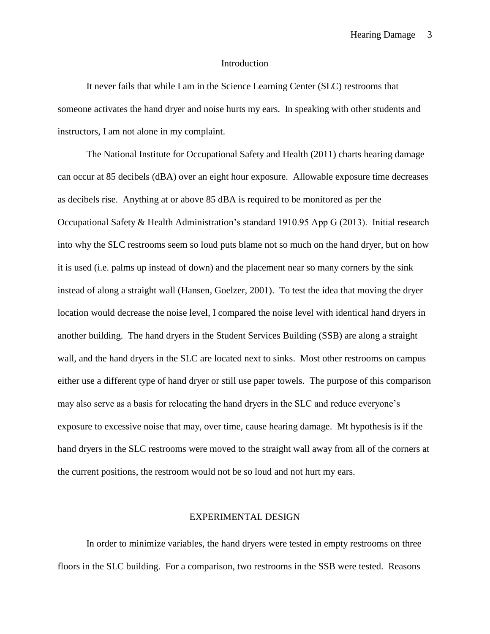### Introduction

It never fails that while I am in the Science Learning Center (SLC) restrooms that someone activates the hand dryer and noise hurts my ears. In speaking with other students and instructors, I am not alone in my complaint.

The National Institute for Occupational Safety and Health (2011) charts hearing damage can occur at 85 decibels (dBA) over an eight hour exposure. Allowable exposure time decreases as decibels rise. Anything at or above 85 dBA is required to be monitored as per the Occupational Safety & Health Administration's standard 1910.95 App G (2013). Initial research into why the SLC restrooms seem so loud puts blame not so much on the hand dryer, but on how it is used (i.e. palms up instead of down) and the placement near so many corners by the sink instead of along a straight wall (Hansen, Goelzer, 2001). To test the idea that moving the dryer location would decrease the noise level, I compared the noise level with identical hand dryers in another building. The hand dryers in the Student Services Building (SSB) are along a straight wall, and the hand dryers in the SLC are located next to sinks. Most other restrooms on campus either use a different type of hand dryer or still use paper towels. The purpose of this comparison may also serve as a basis for relocating the hand dryers in the SLC and reduce everyone's exposure to excessive noise that may, over time, cause hearing damage. Mt hypothesis is if the hand dryers in the SLC restrooms were moved to the straight wall away from all of the corners at the current positions, the restroom would not be so loud and not hurt my ears.

### EXPERIMENTAL DESIGN

In order to minimize variables, the hand dryers were tested in empty restrooms on three floors in the SLC building. For a comparison, two restrooms in the SSB were tested. Reasons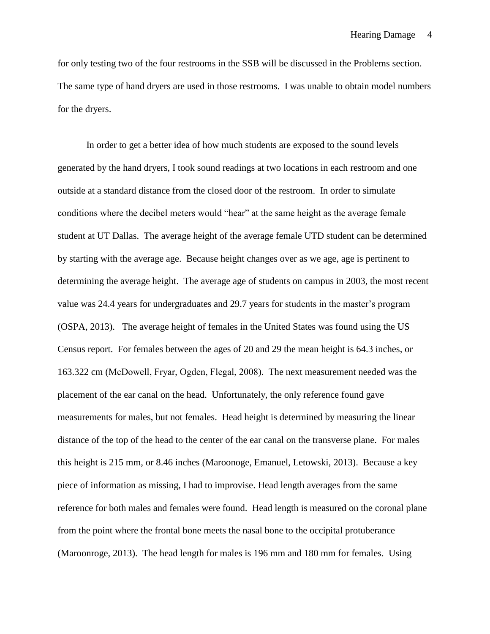for only testing two of the four restrooms in the SSB will be discussed in the Problems section. The same type of hand dryers are used in those restrooms. I was unable to obtain model numbers for the dryers.

In order to get a better idea of how much students are exposed to the sound levels generated by the hand dryers, I took sound readings at two locations in each restroom and one outside at a standard distance from the closed door of the restroom. In order to simulate conditions where the decibel meters would "hear" at the same height as the average female student at UT Dallas. The average height of the average female UTD student can be determined by starting with the average age. Because height changes over as we age, age is pertinent to determining the average height. The average age of students on campus in 2003, the most recent value was 24.4 years for undergraduates and 29.7 years for students in the master's program (OSPA, 2013). The average height of females in the United States was found using the US Census report. For females between the ages of 20 and 29 the mean height is 64.3 inches, or 163.322 cm (McDowell, Fryar, Ogden, Flegal, 2008). The next measurement needed was the placement of the ear canal on the head. Unfortunately, the only reference found gave measurements for males, but not females. Head height is determined by measuring the linear distance of the top of the head to the center of the ear canal on the transverse plane. For males this height is 215 mm, or 8.46 inches (Maroonoge, Emanuel, Letowski, 2013). Because a key piece of information as missing, I had to improvise. Head length averages from the same reference for both males and females were found. Head length is measured on the coronal plane from the point where the frontal bone meets the nasal bone to the occipital protuberance (Maroonroge, 2013). The head length for males is 196 mm and 180 mm for females. Using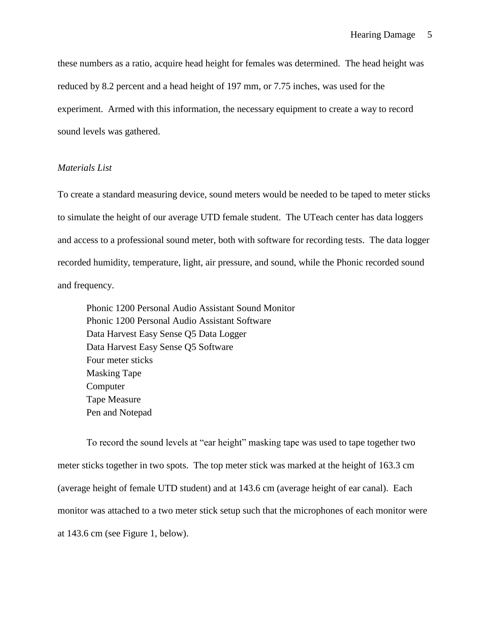these numbers as a ratio, acquire head height for females was determined. The head height was reduced by 8.2 percent and a head height of 197 mm, or 7.75 inches, was used for the experiment. Armed with this information, the necessary equipment to create a way to record sound levels was gathered.

## *Materials List*

To create a standard measuring device, sound meters would be needed to be taped to meter sticks to simulate the height of our average UTD female student. The UTeach center has data loggers and access to a professional sound meter, both with software for recording tests. The data logger recorded humidity, temperature, light, air pressure, and sound, while the Phonic recorded sound and frequency.

Phonic 1200 Personal Audio Assistant Sound Monitor Phonic 1200 Personal Audio Assistant Software Data Harvest Easy Sense Q5 Data Logger Data Harvest Easy Sense Q5 Software Four meter sticks Masking Tape Computer Tape Measure Pen and Notepad

To record the sound levels at "ear height" masking tape was used to tape together two meter sticks together in two spots. The top meter stick was marked at the height of 163.3 cm (average height of female UTD student) and at 143.6 cm (average height of ear canal). Each monitor was attached to a two meter stick setup such that the microphones of each monitor were at 143.6 cm (see Figure 1, below).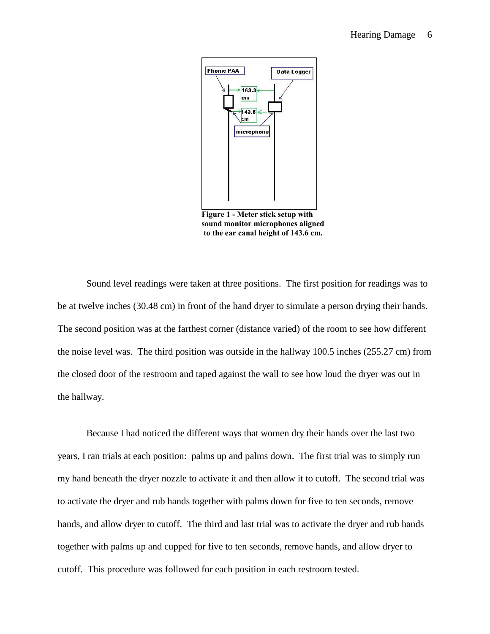

**Figure 1 - Meter stick setup with sound monitor microphones aligned to the ear canal height of 143.6 cm.**

Sound level readings were taken at three positions. The first position for readings was to be at twelve inches (30.48 cm) in front of the hand dryer to simulate a person drying their hands. The second position was at the farthest corner (distance varied) of the room to see how different the noise level was. The third position was outside in the hallway 100.5 inches (255.27 cm) from the closed door of the restroom and taped against the wall to see how loud the dryer was out in the hallway.

Because I had noticed the different ways that women dry their hands over the last two years, I ran trials at each position: palms up and palms down. The first trial was to simply run my hand beneath the dryer nozzle to activate it and then allow it to cutoff. The second trial was to activate the dryer and rub hands together with palms down for five to ten seconds, remove hands, and allow dryer to cutoff. The third and last trial was to activate the dryer and rub hands together with palms up and cupped for five to ten seconds, remove hands, and allow dryer to cutoff. This procedure was followed for each position in each restroom tested.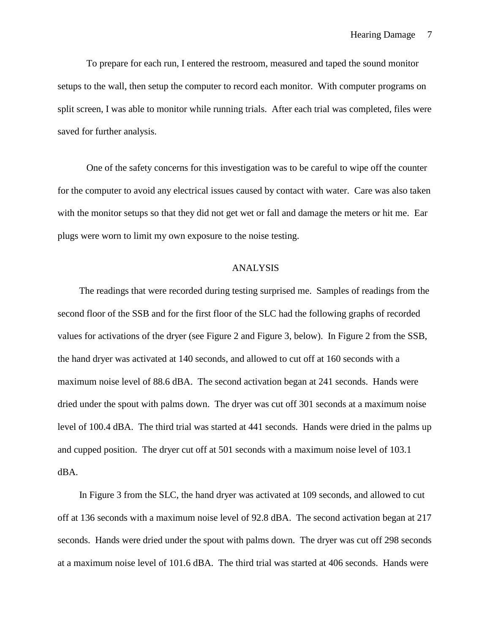To prepare for each run, I entered the restroom, measured and taped the sound monitor setups to the wall, then setup the computer to record each monitor. With computer programs on split screen, I was able to monitor while running trials. After each trial was completed, files were saved for further analysis.

One of the safety concerns for this investigation was to be careful to wipe off the counter for the computer to avoid any electrical issues caused by contact with water. Care was also taken with the monitor setups so that they did not get wet or fall and damage the meters or hit me. Ear plugs were worn to limit my own exposure to the noise testing.

### ANALYSIS

The readings that were recorded during testing surprised me. Samples of readings from the second floor of the SSB and for the first floor of the SLC had the following graphs of recorded values for activations of the dryer (see Figure 2 and Figure 3, below). In Figure 2 from the SSB, the hand dryer was activated at 140 seconds, and allowed to cut off at 160 seconds with a maximum noise level of 88.6 dBA. The second activation began at 241 seconds. Hands were dried under the spout with palms down. The dryer was cut off 301 seconds at a maximum noise level of 100.4 dBA. The third trial was started at 441 seconds. Hands were dried in the palms up and cupped position. The dryer cut off at 501 seconds with a maximum noise level of 103.1 dBA.

In Figure 3 from the SLC, the hand dryer was activated at 109 seconds, and allowed to cut off at 136 seconds with a maximum noise level of 92.8 dBA. The second activation began at 217 seconds. Hands were dried under the spout with palms down. The dryer was cut off 298 seconds at a maximum noise level of 101.6 dBA. The third trial was started at 406 seconds. Hands were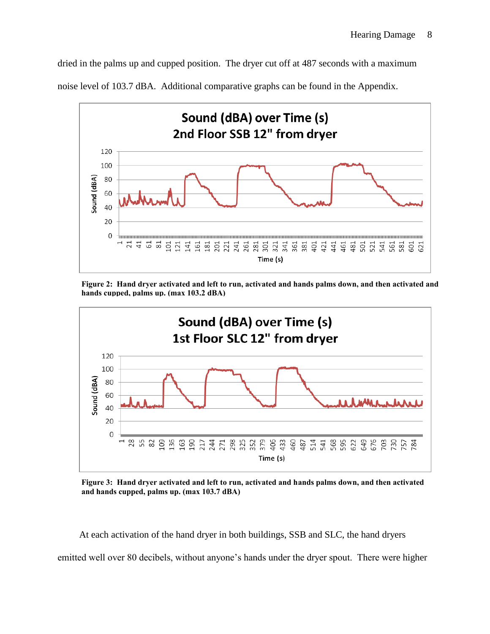dried in the palms up and cupped position. The dryer cut off at 487 seconds with a maximum noise level of 103.7 dBA. Additional comparative graphs can be found in the Appendix.



**Figure 2: Hand dryer activated and left to run, activated and hands palms down, and then activated and hands cupped, palms up. (max 103.2 dBA)**



**Figure 3: Hand dryer activated and left to run, activated and hands palms down, and then activated and hands cupped, palms up. (max 103.7 dBA)**

At each activation of the hand dryer in both buildings, SSB and SLC, the hand dryers emitted well over 80 decibels, without anyone's hands under the dryer spout. There were higher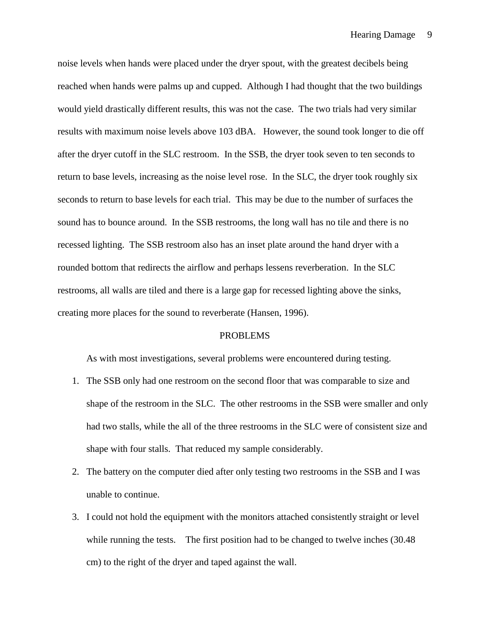noise levels when hands were placed under the dryer spout, with the greatest decibels being reached when hands were palms up and cupped. Although I had thought that the two buildings would yield drastically different results, this was not the case. The two trials had very similar results with maximum noise levels above 103 dBA. However, the sound took longer to die off after the dryer cutoff in the SLC restroom. In the SSB, the dryer took seven to ten seconds to return to base levels, increasing as the noise level rose. In the SLC, the dryer took roughly six seconds to return to base levels for each trial. This may be due to the number of surfaces the sound has to bounce around. In the SSB restrooms, the long wall has no tile and there is no recessed lighting. The SSB restroom also has an inset plate around the hand dryer with a rounded bottom that redirects the airflow and perhaps lessens reverberation. In the SLC restrooms, all walls are tiled and there is a large gap for recessed lighting above the sinks, creating more places for the sound to reverberate (Hansen, 1996).

## PROBLEMS

As with most investigations, several problems were encountered during testing.

- 1. The SSB only had one restroom on the second floor that was comparable to size and shape of the restroom in the SLC. The other restrooms in the SSB were smaller and only had two stalls, while the all of the three restrooms in the SLC were of consistent size and shape with four stalls. That reduced my sample considerably.
- 2. The battery on the computer died after only testing two restrooms in the SSB and I was unable to continue.
- 3. I could not hold the equipment with the monitors attached consistently straight or level while running the tests. The first position had to be changed to twelve inches (30.48 cm) to the right of the dryer and taped against the wall.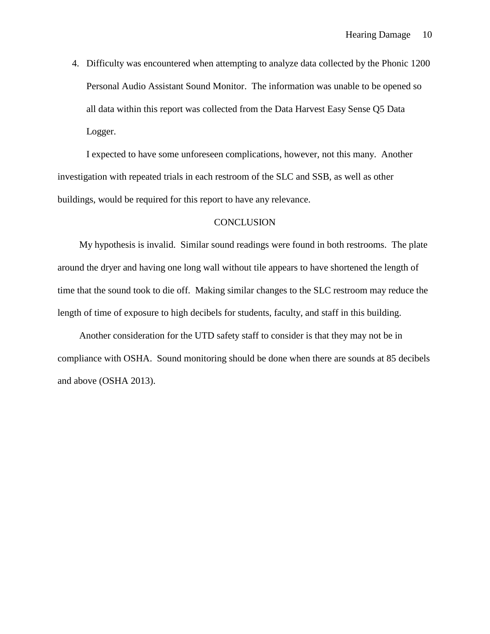4. Difficulty was encountered when attempting to analyze data collected by the Phonic 1200 Personal Audio Assistant Sound Monitor. The information was unable to be opened so all data within this report was collected from the Data Harvest Easy Sense Q5 Data Logger.

I expected to have some unforeseen complications, however, not this many. Another investigation with repeated trials in each restroom of the SLC and SSB, as well as other buildings, would be required for this report to have any relevance.

## **CONCLUSION**

My hypothesis is invalid. Similar sound readings were found in both restrooms. The plate around the dryer and having one long wall without tile appears to have shortened the length of time that the sound took to die off. Making similar changes to the SLC restroom may reduce the length of time of exposure to high decibels for students, faculty, and staff in this building.

Another consideration for the UTD safety staff to consider is that they may not be in compliance with OSHA. Sound monitoring should be done when there are sounds at 85 decibels and above (OSHA 2013).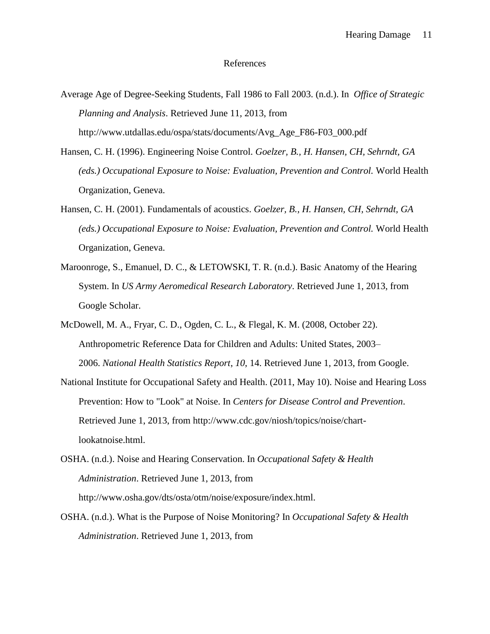### References

- Average Age of Degree-Seeking Students, Fall 1986 to Fall 2003. (n.d.). In *Office of Strategic Planning and Analysis*. Retrieved June 11, 2013, from http://www.utdallas.edu/ospa/stats/documents/Avg\_Age\_F86-F03\_000.pdf
- Hansen, C. H. (1996). Engineering Noise Control. *Goelzer, B., H. Hansen, CH, Sehrndt, GA (eds.) Occupational Exposure to Noise: Evaluation, Prevention and Control.* World Health Organization, Geneva.
- Hansen, C. H. (2001). Fundamentals of acoustics. *Goelzer, B., H. Hansen, CH, Sehrndt, GA (eds.) Occupational Exposure to Noise: Evaluation, Prevention and Control.* World Health Organization, Geneva.
- Maroonroge, S., Emanuel, D. C., & LETOWSKI, T. R. (n.d.). Basic Anatomy of the Hearing System. In *US Army Aeromedical Research Laboratory*. Retrieved June 1, 2013, from Google Scholar.
- McDowell, M. A., Fryar, C. D., Ogden, C. L., & Flegal, K. M. (2008, October 22). Anthropometric Reference Data for Children and Adults: United States, 2003– 2006. *National Health Statistics Report*, *10*, 14. Retrieved June 1, 2013, from Google.
- National Institute for Occupational Safety and Health. (2011, May 10). Noise and Hearing Loss Prevention: How to "Look" at Noise. In *Centers for Disease Control and Prevention*. Retrieved June 1, 2013, from http://www.cdc.gov/niosh/topics/noise/chartlookatnoise.html.
- OSHA. (n.d.). Noise and Hearing Conservation. In *Occupational Safety & Health Administration*. Retrieved June 1, 2013, from http://www.osha.gov/dts/osta/otm/noise/exposure/index.html.
- OSHA. (n.d.). What is the Purpose of Noise Monitoring? In *Occupational Safety & Health Administration*. Retrieved June 1, 2013, from